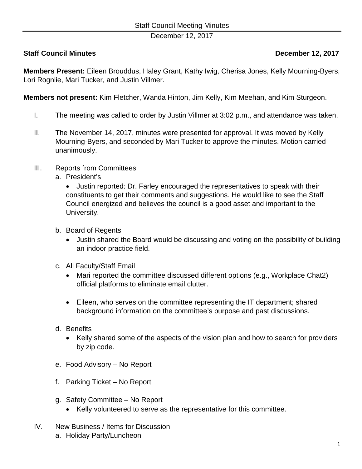December 12, 2017

## **Staff Council Minutes December 12, 2017**

**Members Present:** Eileen Brouddus, Haley Grant, Kathy Iwig, Cherisa Jones, Kelly Mourning-Byers, Lori Rognlie, Mari Tucker, and Justin Villmer.

**Members not present:** Kim Fletcher, Wanda Hinton, Jim Kelly, Kim Meehan, and Kim Sturgeon.

- I. The meeting was called to order by Justin Villmer at 3:02 p.m., and attendance was taken.
- II. The November 14, 2017, minutes were presented for approval. It was moved by Kelly Mourning-Byers, and seconded by Mari Tucker to approve the minutes. Motion carried unanimously.
- III. Reports from Committees
	- a. President's

• Justin reported: Dr. Farley encouraged the representatives to speak with their constituents to get their comments and suggestions. He would like to see the Staff Council energized and believes the council is a good asset and important to the University.

- b. Board of Regents
	- Justin shared the Board would be discussing and voting on the possibility of building an indoor practice field.
- c. All Faculty/Staff Email
	- Mari reported the committee discussed different options (e.g., Workplace Chat2) official platforms to eliminate email clutter.
	- Eileen, who serves on the committee representing the IT department; shared background information on the committee's purpose and past discussions.
- d. Benefits
	- Kelly shared some of the aspects of the vision plan and how to search for providers by zip code.
- e. Food Advisory No Report
- f. Parking Ticket No Report
- g. Safety Committee No Report
	- Kelly volunteered to serve as the representative for this committee.
- IV. New Business / Items for Discussion a. Holiday Party/Luncheon